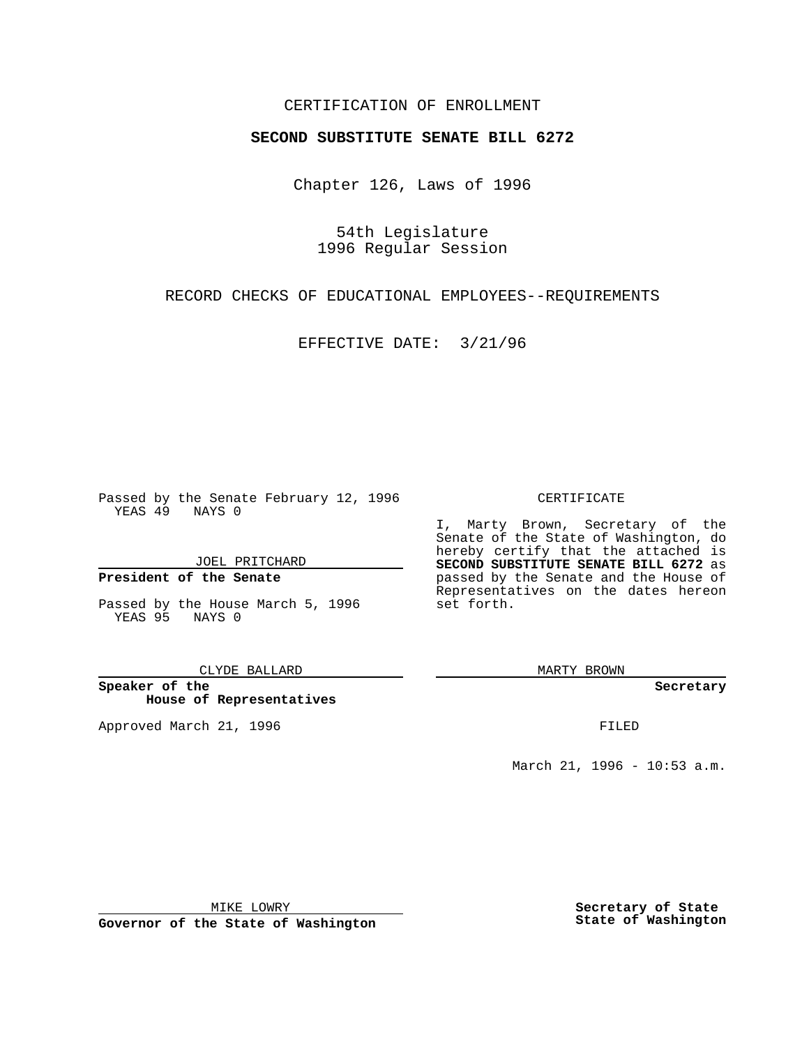# CERTIFICATION OF ENROLLMENT

# **SECOND SUBSTITUTE SENATE BILL 6272**

Chapter 126, Laws of 1996

54th Legislature 1996 Regular Session

RECORD CHECKS OF EDUCATIONAL EMPLOYEES--REQUIREMENTS

EFFECTIVE DATE: 3/21/96

Passed by the Senate February 12, 1996 YEAS 49 NAYS 0

JOEL PRITCHARD

## **President of the Senate**

Passed by the House March 5, 1996 YEAS 95 NAYS 0

### CLYDE BALLARD

**Speaker of the House of Representatives**

Approved March 21, 1996 **FILED** 

### CERTIFICATE

I, Marty Brown, Secretary of the Senate of the State of Washington, do hereby certify that the attached is **SECOND SUBSTITUTE SENATE BILL 6272** as passed by the Senate and the House of Representatives on the dates hereon set forth.

MARTY BROWN

### **Secretary**

March 21, 1996 - 10:53 a.m.

MIKE LOWRY

**Governor of the State of Washington**

**Secretary of State State of Washington**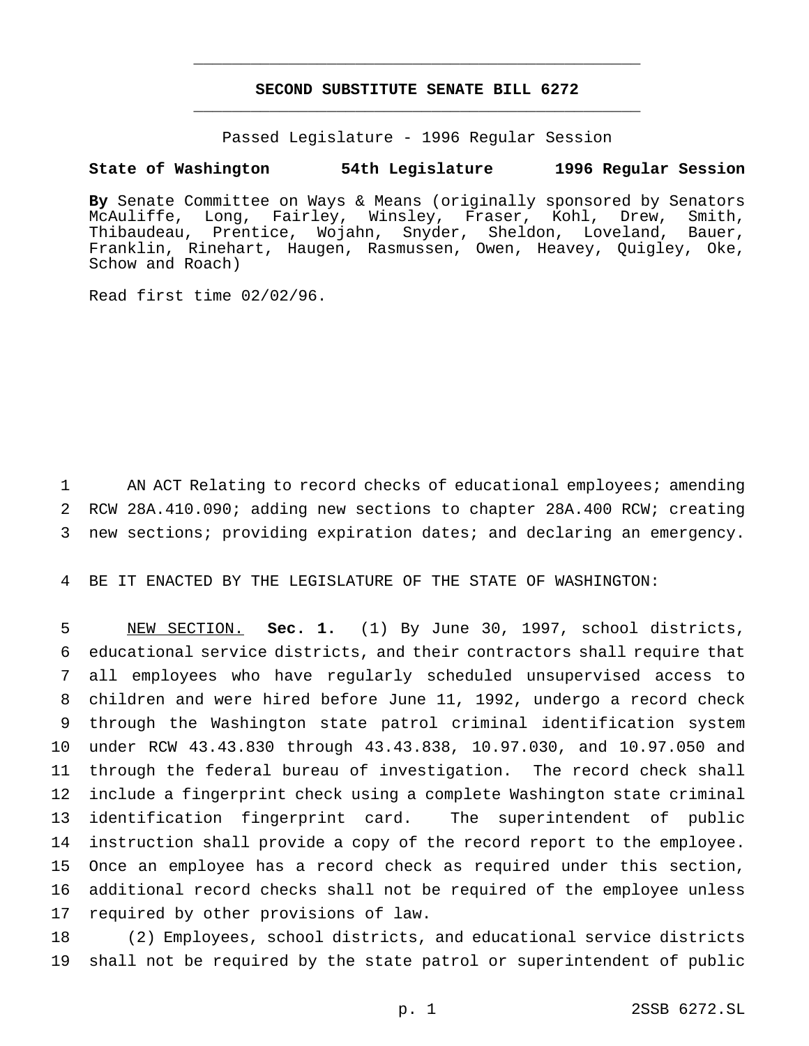# **SECOND SUBSTITUTE SENATE BILL 6272** \_\_\_\_\_\_\_\_\_\_\_\_\_\_\_\_\_\_\_\_\_\_\_\_\_\_\_\_\_\_\_\_\_\_\_\_\_\_\_\_\_\_\_\_\_\_\_

\_\_\_\_\_\_\_\_\_\_\_\_\_\_\_\_\_\_\_\_\_\_\_\_\_\_\_\_\_\_\_\_\_\_\_\_\_\_\_\_\_\_\_\_\_\_\_

Passed Legislature - 1996 Regular Session

## **State of Washington 54th Legislature 1996 Regular Session**

**By** Senate Committee on Ways & Means (originally sponsored by Senators McAuliffe, Long, Fairley, Winsley, Fraser, Kohl, Drew, Smith, Thibaudeau, Prentice, Wojahn, Snyder, Sheldon, Loveland, Bauer, Franklin, Rinehart, Haugen, Rasmussen, Owen, Heavey, Quigley, Oke, Schow and Roach)

Read first time 02/02/96.

 AN ACT Relating to record checks of educational employees; amending RCW 28A.410.090; adding new sections to chapter 28A.400 RCW; creating new sections; providing expiration dates; and declaring an emergency.

BE IT ENACTED BY THE LEGISLATURE OF THE STATE OF WASHINGTON:

 NEW SECTION. **Sec. 1.** (1) By June 30, 1997, school districts, educational service districts, and their contractors shall require that all employees who have regularly scheduled unsupervised access to children and were hired before June 11, 1992, undergo a record check through the Washington state patrol criminal identification system under RCW 43.43.830 through 43.43.838, 10.97.030, and 10.97.050 and through the federal bureau of investigation. The record check shall include a fingerprint check using a complete Washington state criminal identification fingerprint card. The superintendent of public instruction shall provide a copy of the record report to the employee. Once an employee has a record check as required under this section, additional record checks shall not be required of the employee unless required by other provisions of law.

 (2) Employees, school districts, and educational service districts shall not be required by the state patrol or superintendent of public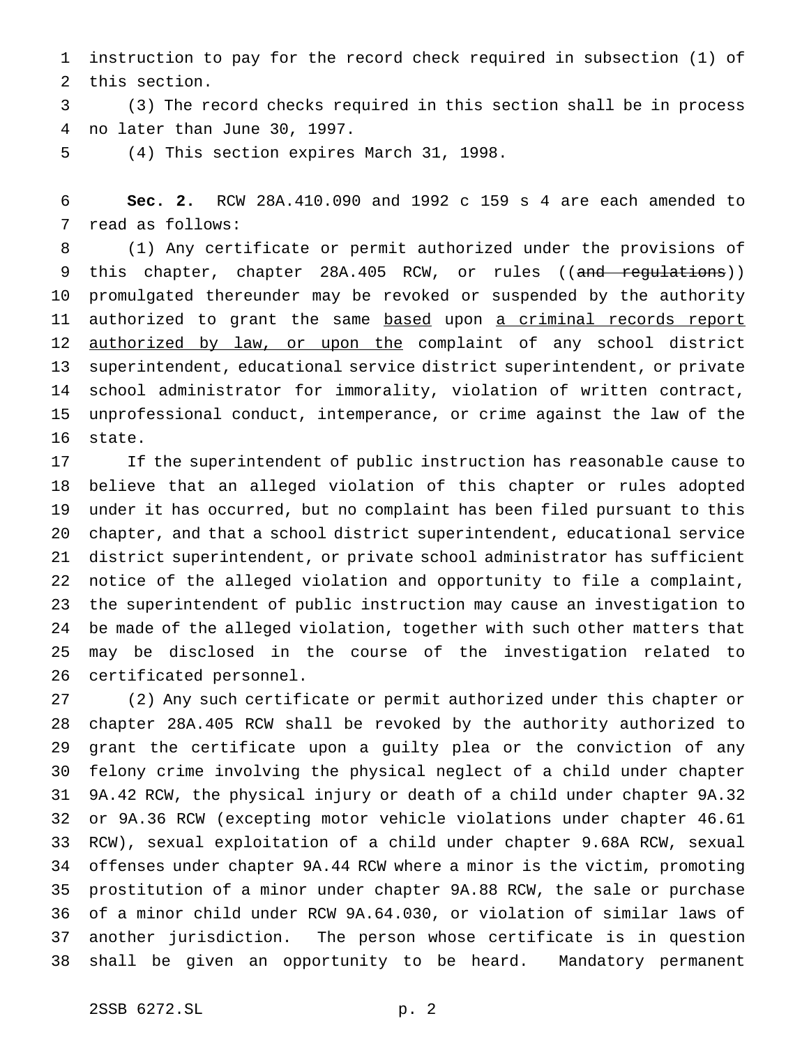instruction to pay for the record check required in subsection (1) of this section.

 (3) The record checks required in this section shall be in process no later than June 30, 1997.

(4) This section expires March 31, 1998.

 **Sec. 2.** RCW 28A.410.090 and 1992 c 159 s 4 are each amended to read as follows:

 (1) Any certificate or permit authorized under the provisions of 9 this chapter, chapter 28A.405 RCW, or rules ((and regulations)) promulgated thereunder may be revoked or suspended by the authority 11 authorized to grant the same based upon a criminal records report authorized by law, or upon the complaint of any school district superintendent, educational service district superintendent, or private school administrator for immorality, violation of written contract, unprofessional conduct, intemperance, or crime against the law of the state.

 If the superintendent of public instruction has reasonable cause to believe that an alleged violation of this chapter or rules adopted under it has occurred, but no complaint has been filed pursuant to this chapter, and that a school district superintendent, educational service district superintendent, or private school administrator has sufficient notice of the alleged violation and opportunity to file a complaint, the superintendent of public instruction may cause an investigation to be made of the alleged violation, together with such other matters that may be disclosed in the course of the investigation related to certificated personnel.

 (2) Any such certificate or permit authorized under this chapter or chapter 28A.405 RCW shall be revoked by the authority authorized to grant the certificate upon a guilty plea or the conviction of any felony crime involving the physical neglect of a child under chapter 9A.42 RCW, the physical injury or death of a child under chapter 9A.32 or 9A.36 RCW (excepting motor vehicle violations under chapter 46.61 RCW), sexual exploitation of a child under chapter 9.68A RCW, sexual offenses under chapter 9A.44 RCW where a minor is the victim, promoting prostitution of a minor under chapter 9A.88 RCW, the sale or purchase of a minor child under RCW 9A.64.030, or violation of similar laws of another jurisdiction. The person whose certificate is in question shall be given an opportunity to be heard. Mandatory permanent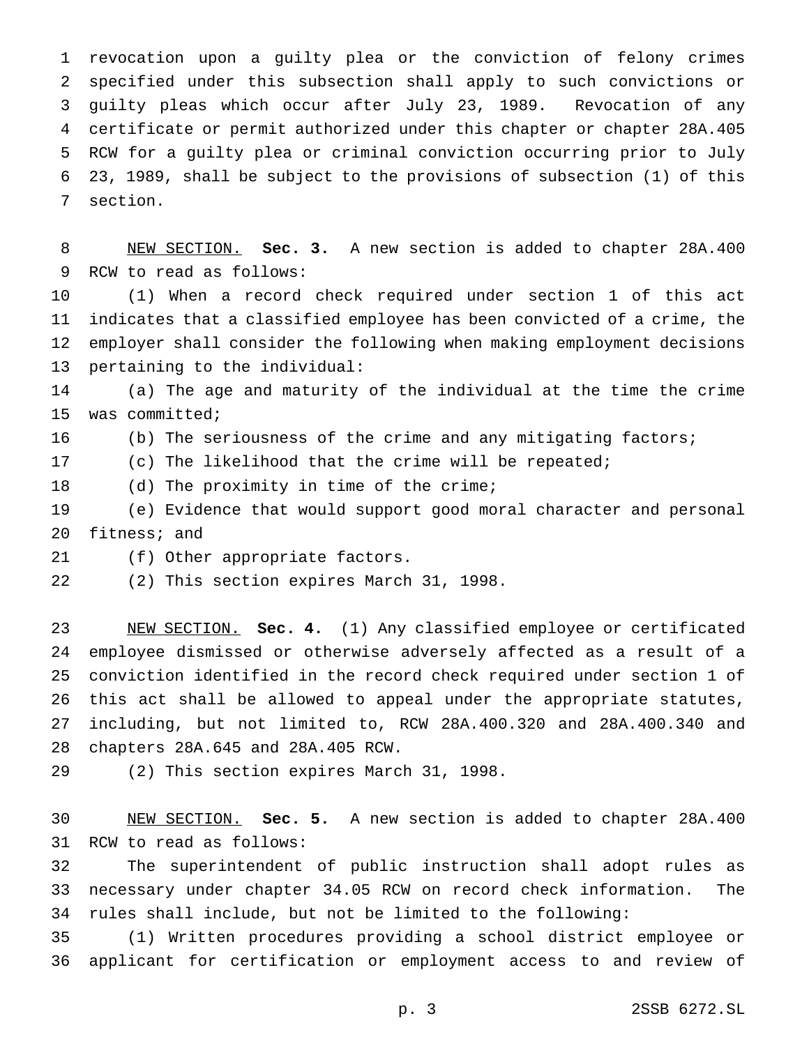revocation upon a guilty plea or the conviction of felony crimes specified under this subsection shall apply to such convictions or guilty pleas which occur after July 23, 1989. Revocation of any certificate or permit authorized under this chapter or chapter 28A.405 RCW for a guilty plea or criminal conviction occurring prior to July 23, 1989, shall be subject to the provisions of subsection (1) of this section.

 NEW SECTION. **Sec. 3.** A new section is added to chapter 28A.400 RCW to read as follows:

 (1) When a record check required under section 1 of this act indicates that a classified employee has been convicted of a crime, the employer shall consider the following when making employment decisions pertaining to the individual:

 (a) The age and maturity of the individual at the time the crime was committed;

16 (b) The seriousness of the crime and any mitigating factors;

(c) The likelihood that the crime will be repeated;

18 (d) The proximity in time of the crime;

 (e) Evidence that would support good moral character and personal fitness; and

(f) Other appropriate factors.

(2) This section expires March 31, 1998.

 NEW SECTION. **Sec. 4.** (1) Any classified employee or certificated employee dismissed or otherwise adversely affected as a result of a conviction identified in the record check required under section 1 of this act shall be allowed to appeal under the appropriate statutes, including, but not limited to, RCW 28A.400.320 and 28A.400.340 and chapters 28A.645 and 28A.405 RCW.

(2) This section expires March 31, 1998.

 NEW SECTION. **Sec. 5.** A new section is added to chapter 28A.400 RCW to read as follows:

 The superintendent of public instruction shall adopt rules as necessary under chapter 34.05 RCW on record check information. The rules shall include, but not be limited to the following:

 (1) Written procedures providing a school district employee or applicant for certification or employment access to and review of